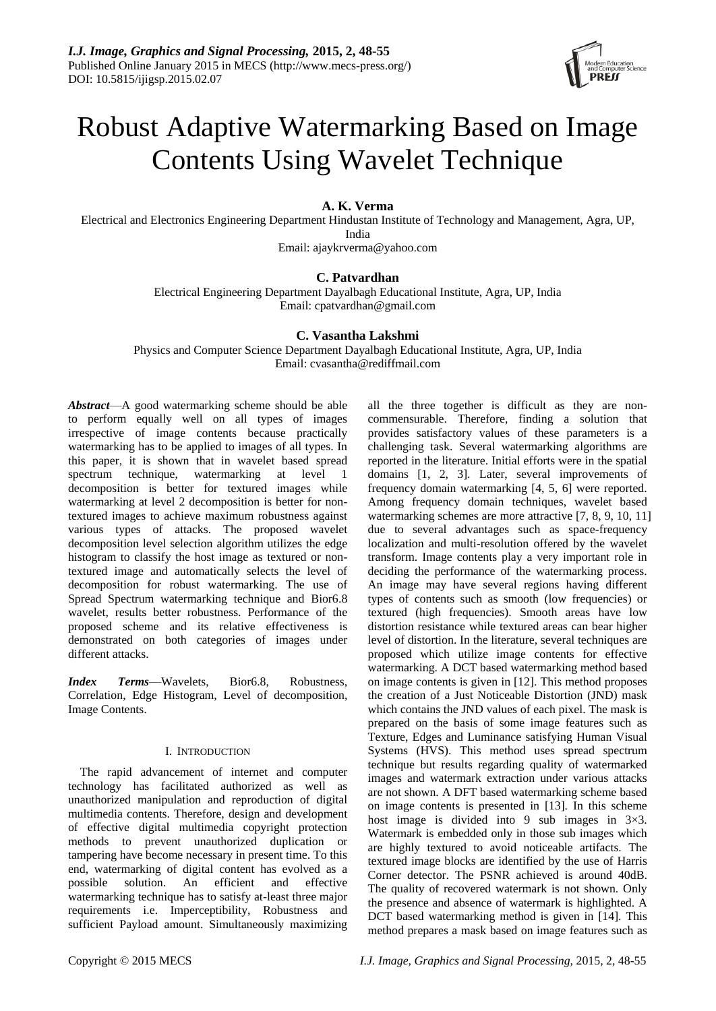

# Robust Adaptive Watermarking Based on Image Contents Using Wavelet Technique

# **A. K. Verma**

Electrical and Electronics Engineering Department Hindustan Institute of Technology and Management, Agra, UP, India

Email: ajaykrverma@yahoo.com

# **C. Patvardhan**

Electrical Engineering Department Dayalbagh Educational Institute, Agra, UP, India Email: cpatvardhan@gmail.com

# **C. Vasantha Lakshmi**

Physics and Computer Science Department Dayalbagh Educational Institute, Agra, UP, India Email: cvasantha@rediffmail.com

*Abstract*—A good watermarking scheme should be able to perform equally well on all types of images irrespective of image contents because practically watermarking has to be applied to images of all types. In this paper, it is shown that in wavelet based spread spectrum technique, watermarking at level 1 decomposition is better for textured images while watermarking at level 2 decomposition is better for nontextured images to achieve maximum robustness against various types of attacks. The proposed wavelet decomposition level selection algorithm utilizes the edge histogram to classify the host image as textured or nontextured image and automatically selects the level of decomposition for robust watermarking. The use of Spread Spectrum watermarking technique and Bior6.8 wavelet, results better robustness. Performance of the proposed scheme and its relative effectiveness is demonstrated on both categories of images under different attacks.

*Index Terms*—Wavelets, Bior6.8, Robustness, Correlation, Edge Histogram, Level of decomposition, Image Contents.

# I. INTRODUCTION

The rapid advancement of internet and computer technology has facilitated authorized as well as unauthorized manipulation and reproduction of digital multimedia contents. Therefore, design and development of effective digital multimedia copyright protection methods to prevent unauthorized duplication or tampering have become necessary in present time. To this end, watermarking of digital content has evolved as a possible solution. An efficient and effective watermarking technique has to satisfy at-least three major requirements i.e. Imperceptibility, Robustness and sufficient Payload amount. Simultaneously maximizing

all the three together is difficult as they are noncommensurable. Therefore, finding a solution that provides satisfactory values of these parameters is a challenging task. Several watermarking algorithms are reported in the literature. Initial efforts were in the spatial domains [1, 2, 3]. Later, several improvements of frequency domain watermarking [4, 5, 6] were reported. Among frequency domain techniques, wavelet based watermarking schemes are more attractive [7, 8, 9, 10, 11] due to several advantages such as space-frequency localization and multi-resolution offered by the wavelet transform. Image contents play a very important role in deciding the performance of the watermarking process. An image may have several regions having different types of contents such as smooth (low frequencies) or textured (high frequencies). Smooth areas have low distortion resistance while textured areas can bear higher level of distortion. In the literature, several techniques are proposed which utilize image contents for effective watermarking. A DCT based watermarking method based on image contents is given in [12]. This method proposes the creation of a Just Noticeable Distortion (JND) mask which contains the JND values of each pixel. The mask is prepared on the basis of some image features such as Texture, Edges and Luminance satisfying Human Visual Systems (HVS). This method uses spread spectrum technique but results regarding quality of watermarked images and watermark extraction under various attacks are not shown. A DFT based watermarking scheme based on image contents is presented in [13]. In this scheme host image is divided into 9 sub images in  $3\times3$ . Watermark is embedded only in those sub images which are highly textured to avoid noticeable artifacts. The textured image blocks are identified by the use of Harris Corner detector. The PSNR achieved is around 40dB. The quality of recovered watermark is not shown. Only the presence and absence of watermark is highlighted. A DCT based watermarking method is given in [14]. This method prepares a mask based on image features such as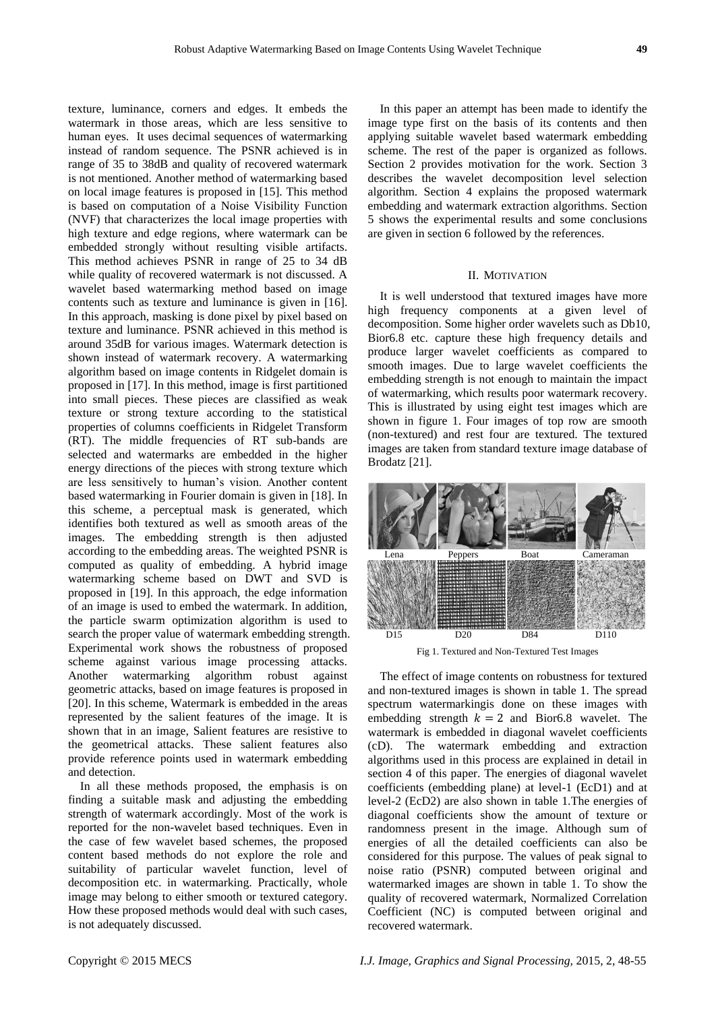texture, luminance, corners and edges. It embeds the watermark in those areas, which are less sensitive to human eyes. It uses decimal sequences of watermarking instead of random sequence. The PSNR achieved is in range of 35 to 38dB and quality of recovered watermark is not mentioned. Another method of watermarking based on local image features is proposed in [15]. This method is based on computation of a Noise Visibility Function (NVF) that characterizes the local image properties with high texture and edge regions, where watermark can be embedded strongly without resulting visible artifacts. This method achieves PSNR in range of 25 to 34 dB while quality of recovered watermark is not discussed. A wavelet based watermarking method based on image contents such as texture and luminance is given in [16]. In this approach, masking is done pixel by pixel based on texture and luminance. PSNR achieved in this method is around 35dB for various images. Watermark detection is shown instead of watermark recovery. A watermarking algorithm based on image contents in Ridgelet domain is proposed in [17]. In this method, image is first partitioned into small pieces. These pieces are classified as weak texture or strong texture according to the statistical properties of columns coefficients in Ridgelet Transform (RT). The middle frequencies of RT sub-bands are selected and watermarks are embedded in the higher energy directions of the pieces with strong texture which are less sensitively to human's vision. Another content based watermarking in Fourier domain is given in [18]. In this scheme, a perceptual mask is generated, which identifies both textured as well as smooth areas of the images. The embedding strength is then adjusted according to the embedding areas. The weighted PSNR is computed as quality of embedding. A hybrid image watermarking scheme based on DWT and SVD is proposed in [19]. In this approach, the edge information of an image is used to embed the watermark. In addition, the particle swarm optimization algorithm is used to search the proper value of watermark embedding strength. Experimental work shows the robustness of proposed scheme against various image processing attacks. Another watermarking algorithm robust against geometric attacks, based on image features is proposed in [20]. In this scheme, Watermark is embedded in the areas represented by the salient features of the image. It is shown that in an image, Salient features are resistive to the geometrical attacks. These salient features also provide reference points used in watermark embedding and detection.

In all these methods proposed, the emphasis is on finding a suitable mask and adjusting the embedding strength of watermark accordingly. Most of the work is reported for the non-wavelet based techniques. Even in the case of few wavelet based schemes, the proposed content based methods do not explore the role and suitability of particular wavelet function, level of decomposition etc. in watermarking. Practically, whole image may belong to either smooth or textured category. How these proposed methods would deal with such cases, is not adequately discussed.

In this paper an attempt has been made to identify the image type first on the basis of its contents and then applying suitable wavelet based watermark embedding scheme. The rest of the paper is organized as follows. Section 2 provides motivation for the work. Section 3 describes the wavelet decomposition level selection algorithm. Section 4 explains the proposed watermark embedding and watermark extraction algorithms. Section 5 shows the experimental results and some conclusions are given in section 6 followed by the references.

## II. MOTIVATION

It is well understood that textured images have more high frequency components at a given level of decomposition. Some higher order wavelets such as Db10, Bior6.8 etc. capture these high frequency details and produce larger wavelet coefficients as compared to smooth images. Due to large wavelet coefficients the embedding strength is not enough to maintain the impact of watermarking, which results poor watermark recovery. This is illustrated by using eight test images which are shown in figure 1. Four images of top row are smooth (non-textured) and rest four are textured. The textured images are taken from standard texture image database of Brodatz [21].



Fig 1. Textured and Non-Textured Test Images

The effect of image contents on robustness for textured and non-textured images is shown in table 1. The spread spectrum watermarkingis done on these images with embedding strength  $k = 2$  and Bior6.8 wavelet. The watermark is embedded in diagonal wavelet coefficients (cD). The watermark embedding and extraction algorithms used in this process are explained in detail in section 4 of this paper. The energies of diagonal wavelet coefficients (embedding plane) at level-1 (EcD1) and at level-2 (EcD2) are also shown in table 1.The energies of diagonal coefficients show the amount of texture or randomness present in the image. Although sum of energies of all the detailed coefficients can also be considered for this purpose. The values of peak signal to noise ratio (PSNR) computed between original and watermarked images are shown in table 1. To show the quality of recovered watermark, Normalized Correlation Coefficient (NC) is computed between original and recovered watermark.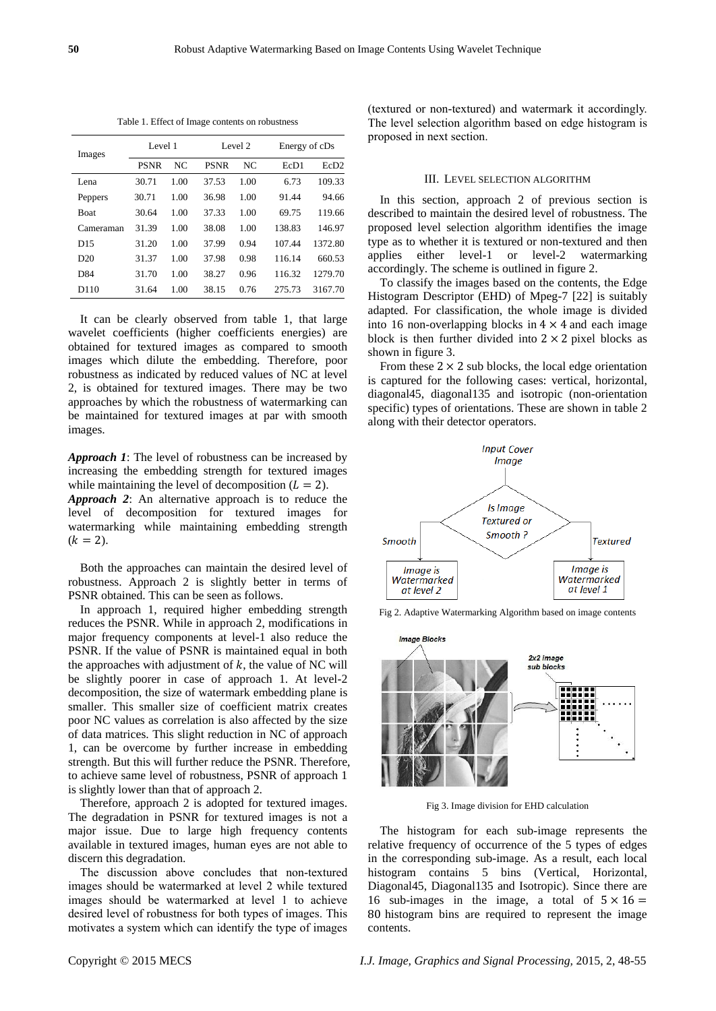| Images          | Level 1     |      |             | Level 2 |                  | Energy of cDs    |  |
|-----------------|-------------|------|-------------|---------|------------------|------------------|--|
|                 | <b>PSNR</b> | NC.  | <b>PSNR</b> | NC      | EcD <sub>1</sub> | EcD <sub>2</sub> |  |
| Lena            | 30.71       | 1.00 | 37.53       | 1.00    | 6.73             | 109.33           |  |
| Peppers         | 30.71       | 1.00 | 36.98       | 1.00    | 91.44            | 94.66            |  |
| <b>Boat</b>     | 30.64       | 1.00 | 37.33       | 1.00    | 69.75            | 119.66           |  |
| Cameraman       | 31.39       | 1.00 | 38.08       | 1.00    | 138.83           | 146.97           |  |
| D15             | 31.20       | 1.00 | 37.99       | 0.94    | 107.44           | 1372.80          |  |
| D20             | 31.37       | 1.00 | 37.98       | 0.98    | 116.14           | 660.53           |  |
| D <sub>84</sub> | 31.70       | 1.00 | 38.27       | 0.96    | 116.32           | 1279.70          |  |
| D110            | 31.64       | 1.00 | 38.15       | 0.76    | 275.73           | 3167.70          |  |

Table 1. Effect of Image contents on robustness

It can be clearly observed from table 1, that large wavelet coefficients (higher coefficients energies) are obtained for textured images as compared to smooth images which dilute the embedding. Therefore, poor robustness as indicated by reduced values of NC at level 2, is obtained for textured images. There may be two approaches by which the robustness of watermarking can be maintained for textured images at par with smooth images.

*Approach 1*: The level of robustness can be increased by increasing the embedding strength for textured images while maintaining the level of decomposition  $(L = 2)$ .

*Approach 2*: An alternative approach is to reduce the level of decomposition for textured images for watermarking while maintaining embedding strength  $(k = 2)$ .

Both the approaches can maintain the desired level of robustness. Approach 2 is slightly better in terms of PSNR obtained. This can be seen as follows.

In approach 1, required higher embedding strength reduces the PSNR. While in approach 2, modifications in major frequency components at level-1 also reduce the PSNR. If the value of PSNR is maintained equal in both the approaches with adjustment of  $k$ , the value of NC will be slightly poorer in case of approach 1. At level-2 decomposition, the size of watermark embedding plane is smaller. This smaller size of coefficient matrix creates poor NC values as correlation is also affected by the size of data matrices. This slight reduction in NC of approach 1, can be overcome by further increase in embedding strength. But this will further reduce the PSNR. Therefore, to achieve same level of robustness, PSNR of approach 1 is slightly lower than that of approach 2.

Therefore, approach 2 is adopted for textured images. The degradation in PSNR for textured images is not a major issue. Due to large high frequency contents available in textured images, human eyes are not able to discern this degradation.

The discussion above concludes that non-textured images should be watermarked at level 2 while textured images should be watermarked at level 1 to achieve desired level of robustness for both types of images. This motivates a system which can identify the type of images

(textured or non-textured) and watermark it accordingly. The level selection algorithm based on edge histogram is proposed in next section.

## III. LEVEL SELECTION ALGORITHM

In this section, approach 2 of previous section is described to maintain the desired level of robustness. The proposed level selection algorithm identifies the image type as to whether it is textured or non-textured and then applies either level-1 or level-2 watermarking accordingly. The scheme is outlined in figure 2.

To classify the images based on the contents, the Edge Histogram Descriptor (EHD) of Mpeg-7 [22] is suitably adapted. For classification, the whole image is divided into 16 non-overlapping blocks in  $4 \times 4$  and each image block is then further divided into  $2 \times 2$  pixel blocks as shown in figure 3.

From these  $2 \times 2$  sub blocks, the local edge orientation is captured for the following cases: vertical, horizontal, diagonal45, diagonal135 and isotropic (non-orientation specific) types of orientations. These are shown in table 2 along with their detector operators.



Fig 2. Adaptive Watermarking Algorithm based on image contents



Fig 3. Image division for EHD calculation

The histogram for each sub-image represents the relative frequency of occurrence of the 5 types of edges in the corresponding sub-image. As a result, each local histogram contains 5 bins (Vertical, Horizontal, Diagonal45, Diagonal135 and Isotropic). Since there are 16 sub-images in the image, a total of  $5 \times 16 =$ 80 histogram bins are required to represent the image contents.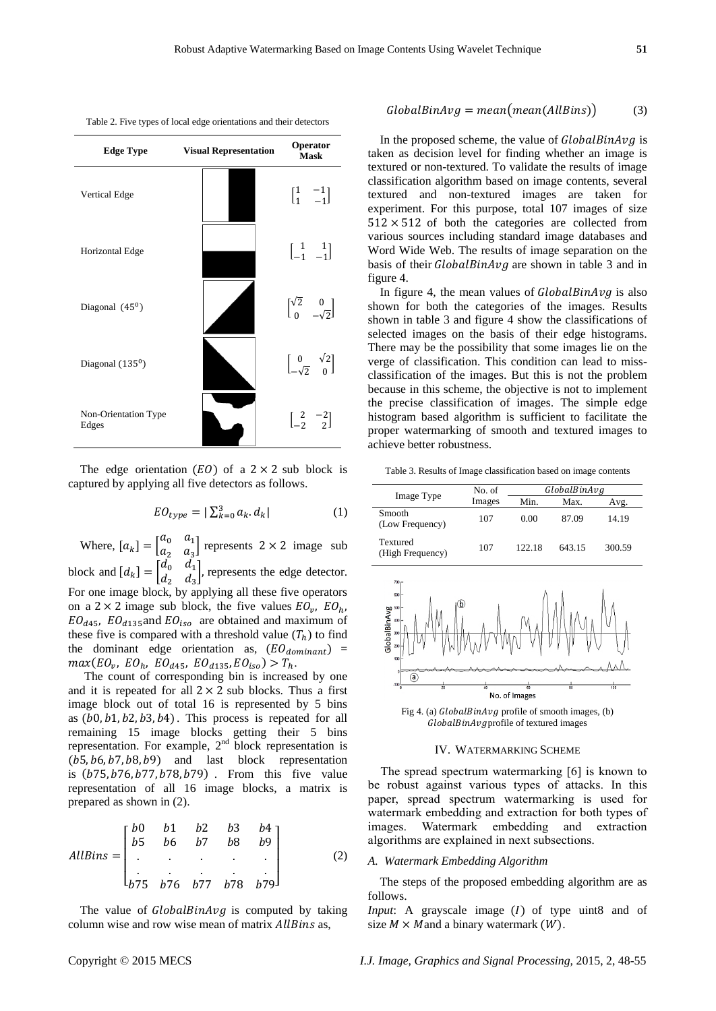| Table 2. Five types of local edge orientations and their detectors |  |
|--------------------------------------------------------------------|--|
|                                                                    |  |



The edge orientation  $(EO)$  of a  $2 \times 2$  sub block is captured by applying all five detectors as follows.

$$
EO_{type} = |\sum_{k=0}^{3} a_k \, d_k| \tag{1}
$$

Where,  $[a_k] = \begin{bmatrix} a \\ a \end{bmatrix}$  $\begin{bmatrix}a_0 & a_1 \\ a_2 & a_3\end{bmatrix}$  represents  $2 \times 2$  image sub block and  $[d_k] = \begin{bmatrix} d \\ d \end{bmatrix}$  $\begin{pmatrix} a_0 & a_1 \\ d_2 & d_3 \end{pmatrix}$ , represents the edge detector. For one image block, by applying all these five operators on a 2  $\times$  2 image sub block, the five values  $EO_{v}$ ,  $EO_{d45}$ ,  $EO_{d135}$  and  $EO_{iso}$  are obtained and maximum of these five is compared with a threshold value  $(T_h)$  to find the dominant edge orientation as,  $(EO_{dominant})$  =  $max(EO_v, EO_h, EO_{d45}, EO_{d135}, EO_{iso}) > T_h.$ 

The count of corresponding bin is increased by one and it is repeated for all  $2 \times 2$  sub blocks. Thus a first image block out of total 16 is represented by 5 bins as  $(b0, b1, b2, b3, b4)$ . This process is repeated for all remaining 15 image blocks getting their 5 bins representation. For example,  $2<sup>nd</sup>$  block representation is  $(b5, b6, b7, b8, b9)$  and last block representation is  $(b75, b76, b77, b78, b79)$ . From this five value representation of all 16 image blocks, a matrix is prepared as shown in (2).

$$
AllBins = \begin{bmatrix} b0 & b1 & b2 & b3 & b4 \\ b5 & b6 & b7 & b8 & b9 \\ . & . & . & . & . \\ . & . & . & . & . \\ b75 & b76 & b77 & b78 & b79 \end{bmatrix}
$$
 (2)

The value of  $GlobalBinAvg$  is computed by taking column wise and row wise mean of matrix AllBins as,

# $GlobalBinAvg = mean(mean(AllBins))$  (3)

In the proposed scheme, the value of  $GlobalBinAvg$  is taken as decision level for finding whether an image is textured or non-textured. To validate the results of image classification algorithm based on image contents, several textured and non-textured images are taken for experiment. For this purpose, total 107 images of size  $512 \times 512$  of both the categories are collected from various sources including standard image databases and Word Wide Web. The results of image separation on the basis of their  $GlobalBinAvg$  are shown in table 3 and in figure 4.

In figure 4, the mean values of  $GlobalBinAvg$  is also shown for both the categories of the images. Results shown in table 3 and figure 4 show the classifications of selected images on the basis of their edge histograms. There may be the possibility that some images lie on the verge of classification. This condition can lead to missclassification of the images. But this is not the problem because in this scheme, the objective is not to implement the precise classification of images. The simple edge histogram based algorithm is sufficient to facilitate the proper watermarking of smooth and textured images to achieve better robustness.

Table 3. Results of Image classification based on image contents

|                              | No. of | GlobalBinAvg |        |        |  |  |
|------------------------------|--------|--------------|--------|--------|--|--|
| Image Type                   | Images | Min.         | Max.   | Avg.   |  |  |
| Smooth<br>(Low Frequency)    | 107    | 0.00         | 87.09  | 14.19  |  |  |
| Textured<br>(High Frequency) | 107    | 122.18       | 643.15 | 300.59 |  |  |



Fig 4. (a)  $GlobalBinAvg$  profile of smooth images, (b) GlobalBinAvgprofile of textured images

#### IV. WATERMARKING SCHEME

The spread spectrum watermarking [6] is known to be robust against various types of attacks. In this paper, spread spectrum watermarking is used for watermark embedding and extraction for both types of images. Watermark embedding and extraction algorithms are explained in next subsections.

## *A. Watermark Embedding Algorithm*

The steps of the proposed embedding algorithm are as follows.

*Input*: A grayscale image  $(I)$  of type uint8 and of size  $M \times M$  and a binary watermark  $(W)$ .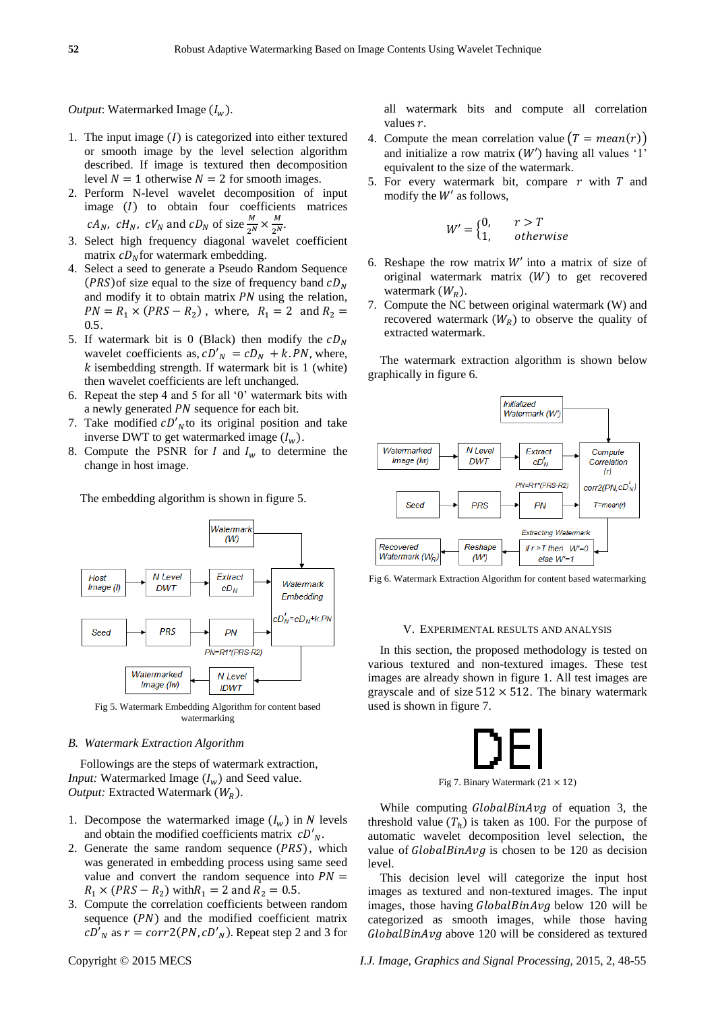## *Output*: Watermarked Image  $(I_w)$ .

- 1. The input image  $(I)$  is categorized into either textured or smooth image by the level selection algorithm described. If image is textured then decomposition level  $N = 1$  otherwise  $N = 2$  for smooth images.
- 2. Perform N-level wavelet decomposition of input image  $(I)$  to obtain four coefficients matrices *cA<sub>N</sub>*, *cH<sub>N</sub>*, *cV<sub>N</sub>* and *cD<sub>N</sub>* of size  $\frac{M}{2^N}$ M  $\frac{M}{2^N}$
- 3. Select high frequency diagonal wavelet coefficient matrix  $cD<sub>N</sub>$  for watermark embedding.
- 4. Select a seed to generate a Pseudo Random Sequence  $(PRS)$  of size equal to the size of frequency band  $cD<sub>N</sub>$ and modify it to obtain matrix  $PN$  using the relation,  $PN = R_1 \times (PRS - R_2)$ ,  $0.5.$
- 5. If watermark bit is 0 (Black) then modify the  $cD<sub>N</sub>$ wavelet coefficients as,  $cD'_N = cD_N + k \cdot PN$ , where,  $k$  isembedding strength. If watermark bit is 1 (white) then wavelet coefficients are left unchanged.
- 6. Repeat the step 4 and 5 for all  $0'$  watermark bits with a newly generated *PN* sequence for each bit.
- 7. Take modified  $cD'_{N}$  to its original position and take inverse DWT to get watermarked image  $(l_w)$ .
- 8. Compute the PSNR for I and  $I_w$  to determine the change in host image.

The embedding algorithm is shown in figure 5.



Fig 5. Watermark Embedding Algorithm for content based watermarking

## *B. Watermark Extraction Algorithm*

Followings are the steps of watermark extraction, *Input:* Watermarked Image  $(I_w)$  and Seed value. *Output:* Extracted Watermark  $(W_R)$ .

- 1. Decompose the watermarked image  $(I_w)$  in N levels and obtain the modified coefficients matrix  $cD'_{N}$ .
- 2. Generate the same random sequence  $(PRS)$ , which was generated in embedding process using same seed value and convert the random sequence into  $PN =$  $R_1 \times (PRS - R_2)$  with  $R_1 = 2$  and  $R_2 = 0.5$ .
- 3. Compute the correlation coefficients between random sequence  $(PN)$  and the modified coefficient matrix  $cD'_N$  as  $r = corr2(PN, cD'_N)$ . Repeat step 2 and 3 for

all watermark bits and compute all correlation values  $r$ .

- 4. Compute the mean correlation value  $(T = mean(r))$ and initialize a row matrix  $(W')$  having all values '1' equivalent to the size of the watermark.
- 5. For every watermark bit, compare  $r$  with  $T$  and modify the  $W'$  as follows,

$$
W' = \begin{cases} 0, & r > T \\ 1, & otherwise \end{cases}
$$

- 6. Reshape the row matrix  $W'$  into a matrix of size of original watermark matrix  $(W)$  to get recovered watermark  $(W_R)$ .
- 7. Compute the NC between original watermark (W) and recovered watermark  $(W_R)$  to observe the quality of extracted watermark.

The watermark extraction algorithm is shown below graphically in figure 6.



Fig 6. Watermark Extraction Algorithm for content based watermarking

#### V. EXPERIMENTAL RESULTS AND ANALYSIS

In this section, the proposed methodology is tested on various textured and non-textured images. These test images are already shown in figure 1. All test images are grayscale and of size  $512 \times 512$ . The binary watermark used is shown in figure 7.



While computing  $GlobalBinAvg$  of equation 3, the threshold value  $(T_h)$  is taken as 100. For the purpose of automatic wavelet decomposition level selection, the value of  $GlobalBinAvg$  is chosen to be 120 as decision level.

This decision level will categorize the input host images as textured and non-textured images. The input images, those having  $GlobalBinAvg$  below 120 will be categorized as smooth images, while those having  $GlobalBinAvg$  above 120 will be considered as textured

Copyright © 2015 MECS *I.J. Image, Graphics and Signal Processing,* 2015, 2, 48-55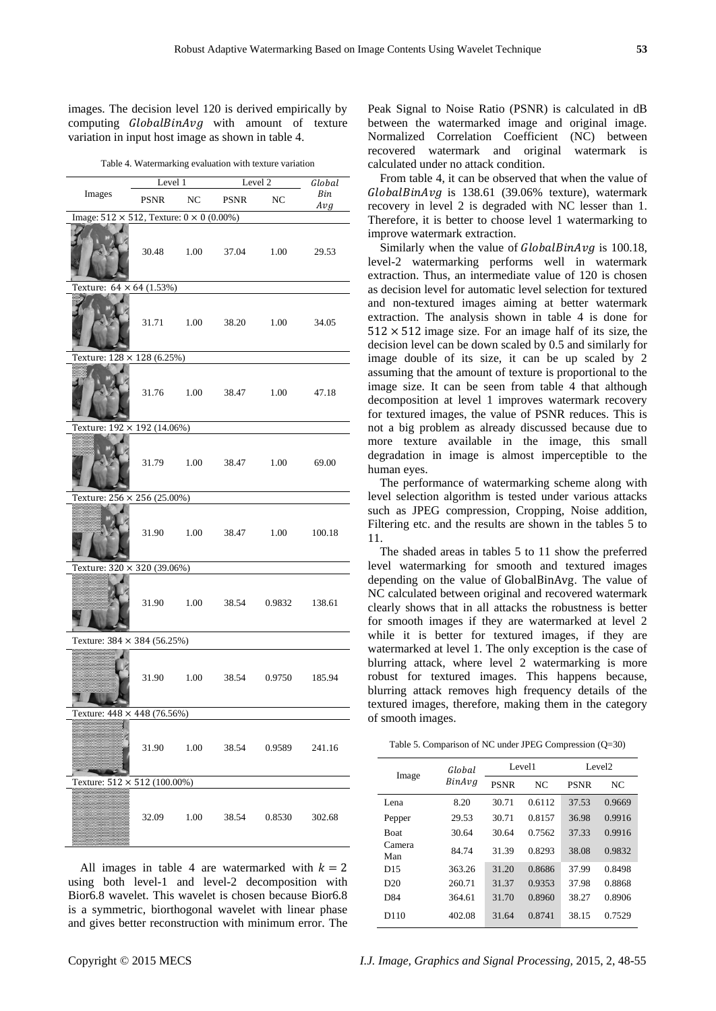images. The decision level 120 is derived empirically by computing  $GlobalBinAvg$  with amount of texture variation in input host image as shown in table 4.

Table 4. Watermarking evaluation with texture variation

|                                                         | $\frac{\text{Level 2}}{\text{1}}$<br>Level 1 |  |  | π,                                  | $Global$   |
|---------------------------------------------------------|----------------------------------------------|--|--|-------------------------------------|------------|
| Images PSNR NC PSNR NC                                  |                                              |  |  |                                     | Bin<br>Avg |
| Image: $512 \times 512$ , Texture: $0 \times 0$ (0.00%) |                                              |  |  |                                     |            |
|                                                         |                                              |  |  | 30.48 1.00 37.04 1.00 29.53         |            |
| Texture: $64 \times 64 (1.53%)$                         |                                              |  |  |                                     |            |
|                                                         |                                              |  |  | 31.71   1.00   38.20   1.00   34.05 |            |
| Texture: $128 \times 128$ (6.25%)                       |                                              |  |  |                                     |            |
|                                                         |                                              |  |  | 31.76 1.00 38.47 1.00 47.18         |            |
| Texture: 192 × 192 (14.06%)                             |                                              |  |  |                                     |            |
|                                                         |                                              |  |  | 31.79 1.00 38.47 1.00 69.00         |            |
| Texture: 256 × 256 (25.00%)                             |                                              |  |  |                                     |            |
|                                                         |                                              |  |  | 31.90  1.00  38.47  1.00  100.18    |            |
| Texture: $320 \times 320 (39.06%)$                      |                                              |  |  |                                     |            |
|                                                         |                                              |  |  | 31.90 1.00 38.54 0.9832 138.61      |            |
| Texture: $384 \times 384 (56.25%)$                      |                                              |  |  |                                     |            |
|                                                         |                                              |  |  | 31.90 1.00 38.54 0.9750 185.94      |            |
| Texture: $448 \times 448$ (76.56%)                      |                                              |  |  |                                     |            |
|                                                         |                                              |  |  | 31.90 1.00 38.54 0.9589 241.16      |            |
| Texture: $512 \times 512 (100.00\%)$                    |                                              |  |  |                                     |            |
|                                                         |                                              |  |  | 32.09 1.00 38.54 0.8530             | 302.68     |

All images in table 4 are watermarked with  $k = 2$ using both level-1 and level-2 decomposition with Bior6.8 wavelet. This wavelet is chosen because Bior6.8 is a symmetric, biorthogonal wavelet with linear phase and gives better reconstruction with minimum error. The

Peak Signal to Noise Ratio (PSNR) is calculated in dB between the watermarked image and original image. Normalized Correlation Coefficient (NC) between recovered watermark and original watermark is calculated under no attack condition.

From table 4, it can be observed that when the value of  $GlobalBinAvg$  is 138.61 (39.06% texture), watermark recovery in level 2 is degraded with NC lesser than 1. Therefore, it is better to choose level 1 watermarking to improve watermark extraction.

Similarly when the value of  $GlobalBinAvg$  is 100.18, level-2 watermarking performs well in watermark extraction. Thus, an intermediate value of 120 is chosen as decision level for automatic level selection for textured and non-textured images aiming at better watermark extraction. The analysis shown in table 4 is done for  $512 \times 512$  image size. For an image half of its size, the decision level can be down scaled by 0.5 and similarly for image double of its size, it can be up scaled by 2 assuming that the amount of texture is proportional to the image size. It can be seen from table 4 that although decomposition at level 1 improves watermark recovery for textured images, the value of PSNR reduces. This is not a big problem as already discussed because due to more texture available in the image, this small degradation in image is almost imperceptible to the human eyes.

The performance of watermarking scheme along with level selection algorithm is tested under various attacks such as JPEG compression, Cropping, Noise addition, Filtering etc. and the results are shown in the tables 5 to 11.

The shaded areas in tables 5 to 11 show the preferred level watermarking for smooth and textured images depending on the value of GlobalBinAvg. The value of NC calculated between original and recovered watermark clearly shows that in all attacks the robustness is better for smooth images if they are watermarked at level 2 while it is better for textured images, if they are watermarked at level 1. The only exception is the case of blurring attack, where level 2 watermarking is more robust for textured images. This happens because, blurring attack removes high frequency details of the textured images, therefore, making them in the category of smooth images.

Table 5. Comparison of NC under JPEG Compression (Q=30)

|                  | Global |             | Level1 | Level <sub>2</sub> |        |
|------------------|--------|-------------|--------|--------------------|--------|
| Image            | BinAvg | <b>PSNR</b> | NC.    | <b>PSNR</b>        | NC     |
| Lena             | 8.20   | 30.71       | 0.6112 | 37.53              | 0.9669 |
| Pepper           | 29.53  | 30.71       | 0.8157 | 36.98              | 0.9916 |
| <b>Boat</b>      | 30.64  | 30.64       | 0.7562 | 37.33              | 0.9916 |
| Camera<br>Man    | 84.74  | 31.39       | 0.8293 | 38.08              | 0.9832 |
| D15              | 363.26 | 31.20       | 0.8686 | 37.99              | 0.8498 |
| D20              | 260.71 | 31.37       | 0.9353 | 37.98              | 0.8868 |
| D <sub>84</sub>  | 364.61 | 31.70       | 0.8960 | 38.27              | 0.8906 |
| D <sub>110</sub> | 402.08 | 31.64       | 0.8741 | 38.15              | 0.7529 |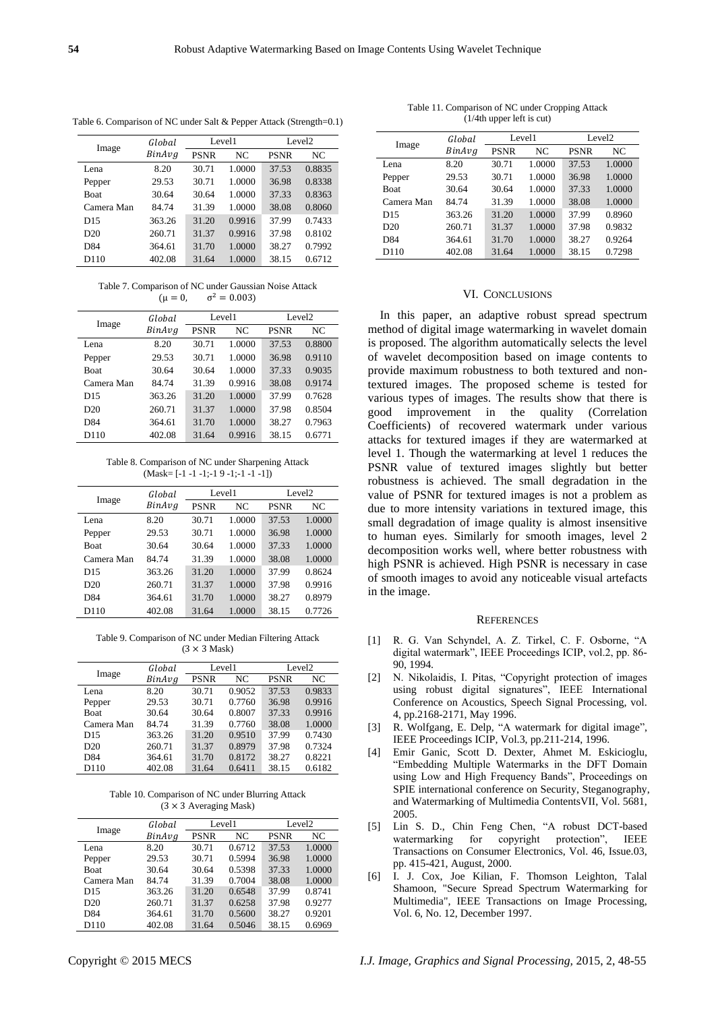| Table 6. Comparison of NC under Salt & Pepper Attack (Strength=0.1) |  |  |
|---------------------------------------------------------------------|--|--|
|---------------------------------------------------------------------|--|--|

|             | Global | Level1      |        | Level <sub>2</sub> |        |
|-------------|--------|-------------|--------|--------------------|--------|
| Image       | BinAvg | <b>PSNR</b> | NC     | <b>PSNR</b>        | NC     |
| Lena        | 8.20   | 30.71       | 1.0000 | 37.53              | 0.8835 |
| Pepper      | 29.53  | 30.71       | 1.0000 | 36.98              | 0.8338 |
| <b>Boat</b> | 30.64  | 30.64       | 1.0000 | 37.33              | 0.8363 |
| Camera Man  | 84.74  | 31.39       | 1.0000 | 38.08              | 0.8060 |
| D15         | 363.26 | 31.20       | 0.9916 | 37.99              | 0.7433 |
| D20         | 260.71 | 31.37       | 0.9916 | 37.98              | 0.8102 |
| D84         | 364.61 | 31.70       | 1.0000 | 38.27              | 0.7992 |
| D110        | 402.08 | 31.64       | 1.0000 | 38.15              | 0.6712 |

Table 7. Comparison of NC under Gaussian Noise Attack  $(u = 0.$  $\sigma^2 = 0.003$ 

|                 | Global | Level1      |        | Level <sub>2</sub> |        |
|-----------------|--------|-------------|--------|--------------------|--------|
| Image           | BinAvg | <b>PSNR</b> | NC.    | <b>PSNR</b>        | NC     |
| Lena            | 8.20   | 30.71       | 1.0000 | 37.53              | 0.8800 |
| Pepper          | 29.53  | 30.71       | 1.0000 | 36.98              | 0.9110 |
| <b>Boat</b>     | 30.64  | 30.64       | 1.0000 | 37.33              | 0.9035 |
| Camera Man      | 84.74  | 31.39       | 0.9916 | 38.08              | 0.9174 |
| D <sub>15</sub> | 363.26 | 31.20       | 1.0000 | 37.99              | 0.7628 |
| D20             | 260.71 | 31.37       | 1.0000 | 37.98              | 0.8504 |
| D84             | 364.61 | 31.70       | 1.0000 | 38.27              | 0.7963 |
| D110            | 402.08 | 31.64       | 0.9916 | 38.15              | 0.6771 |

Table 8. Comparison of NC under Sharpening Attack  $(Mask=[-1 -1 -1;-1 9 -1;-1 -1 -1])$ 

| Image           | Global |             | Level1 |             | Level <sub>2</sub> |  |
|-----------------|--------|-------------|--------|-------------|--------------------|--|
|                 | BinAvg | <b>PSNR</b> | NC     | <b>PSNR</b> | NC                 |  |
| Lena            | 8.20   | 30.71       | 1.0000 | 37.53       | 1.0000             |  |
| Pepper          | 29.53  | 30.71       | 1.0000 | 36.98       | 1.0000             |  |
| <b>Boat</b>     | 30.64  | 30.64       | 1.0000 | 37.33       | 1.0000             |  |
| Camera Man      | 84.74  | 31.39       | 1.0000 | 38.08       | 1.0000             |  |
| D <sub>15</sub> | 363.26 | 31.20       | 1.0000 | 37.99       | 0.8624             |  |
| D20             | 260.71 | 31.37       | 1.0000 | 37.98       | 0.9916             |  |
| D84             | 364.61 | 31.70       | 1.0000 | 38.27       | 0.8979             |  |
| D110            | 402.08 | 31.64       | 1.0000 | 38.15       | 0.7726             |  |

Table 9. Comparison of NC under Median Filtering Attack  $(3 \times 3$  Mask)

| Image       | Global |             | Level1 | Level2      |        |
|-------------|--------|-------------|--------|-------------|--------|
|             | BinAvg | <b>PSNR</b> | NC     | <b>PSNR</b> | NC.    |
| Lena.       | 8.20   | 30.71       | 0.9052 | 37.53       | 0.9833 |
| Pepper      | 29.53  | 30.71       | 0.7760 | 36.98       | 0.9916 |
| <b>Boat</b> | 30.64  | 30.64       | 0.8007 | 37.33       | 0.9916 |
| Camera Man  | 84.74  | 31.39       | 0.7760 | 38.08       | 1.0000 |
| D15         | 363.26 | 31.20       | 0.9510 | 37.99       | 0.7430 |
| D20         | 260.71 | 31.37       | 0.8979 | 37.98       | 0.7324 |
| D84         | 364.61 | 31.70       | 0.8172 | 38.27       | 0.8221 |
| D110        | 402.08 | 31.64       | 0.6411 | 38.15       | 0.6182 |

Table 10. Comparison of NC under Blurring Attack  $(3 \times 3$  Averaging Mask)

|             | Global |             | Level1 |             | Level <sub>2</sub> |
|-------------|--------|-------------|--------|-------------|--------------------|
| Image       | BinAvg | <b>PSNR</b> | NC     | <b>PSNR</b> | NC                 |
| Lena        | 8.20   | 30.71       | 0.6712 | 37.53       | 1.0000             |
| Pepper      | 29.53  | 30.71       | 0.5994 | 36.98       | 1.0000             |
| <b>Boat</b> | 30.64  | 30.64       | 0.5398 | 37.33       | 1.0000             |
| Camera Man  | 84.74  | 31.39       | 0.7004 | 38.08       | 1.0000             |
| D15         | 363.26 | 31.20       | 0.6548 | 37.99       | 0.8741             |
| D20         | 260.71 | 31.37       | 0.6258 | 37.98       | 0.9277             |
| D84         | 364.61 | 31.70       | 0.5600 | 38.27       | 0.9201             |
| D110        | 402.08 | 31.64       | 0.5046 | 38.15       | 0.6969             |

Table 11. Comparison of NC under Cropping Attack  $(1/4$ th upper left is cut)

| Global          |        |             | Level1 | Level <sub>2</sub> |        |
|-----------------|--------|-------------|--------|--------------------|--------|
| Image           | BinAvg | <b>PSNR</b> | NC     | <b>PSNR</b>        | NC     |
| Lena            | 8.20   | 30.71       | 1.0000 | 37.53              | 1.0000 |
| Pepper          | 29.53  | 30.71       | 1.0000 | 36.98              | 1.0000 |
| <b>Boat</b>     | 30.64  | 30.64       | 1.0000 | 37.33              | 1.0000 |
| Camera Man      | 84.74  | 31.39       | 1.0000 | 38.08              | 1.0000 |
| D <sub>15</sub> | 363.26 | 31.20       | 1.0000 | 37.99              | 0.8960 |
| D20             | 260.71 | 31.37       | 1.0000 | 37.98              | 0.9832 |
| D <sub>84</sub> | 364.61 | 31.70       | 1.0000 | 38.27              | 0.9264 |
| D110            | 402.08 | 31.64       | 1.0000 | 38.15              | 0.7298 |

# VI. CONCLUSIONS

In this paper, an adaptive robust spread spectrum method of digital image watermarking in wavelet domain is proposed. The algorithm automatically selects the level of wavelet decomposition based on image contents to provide maximum robustness to both textured and nontextured images. The proposed scheme is tested for various types of images. The results show that there is good improvement in the quality (Correlation Coefficients) of recovered watermark under various attacks for textured images if they are watermarked at level 1. Though the watermarking at level 1 reduces the PSNR value of textured images slightly but better robustness is achieved. The small degradation in the value of PSNR for textured images is not a problem as due to more intensity variations in textured image, this small degradation of image quality is almost insensitive to human eyes. Similarly for smooth images, level 2 decomposition works well, where better robustness with high PSNR is achieved. High PSNR is necessary in case of smooth images to avoid any noticeable visual artefacts in the image.

#### **REFERENCES**

- [1] R. G. Van Schyndel, A. Z. Tirkel, C. F. Osborne, "A digital watermark", IEEE Proceedings ICIP, vol.2, pp. 86-90, 1994.
- [2] N. Nikolaidis, I. Pitas, "Copyright protection of images using robust digital signatures", IEEE International Conference on Acoustics, Speech Signal Processing, vol. 4, pp.2168-2171, May 1996.
- [3] R. Wolfgang, E. Delp, "A watermark for digital image", IEEE Proceedings ICIP, Vol.3, pp.211-214, 1996.
- [4] Emir Ganic, Scott D. Dexter, Ahmet M. Eskicioglu, ―Embedding Multiple Watermarks in the DFT Domain using Low and High Frequency Bands", Proceedings on SPIE international conference on Security, Steganography, and Watermarking of Multimedia ContentsVII, Vol. 5681, 2005.
- [5] Lin S. D., Chin Feng Chen, "A robust DCT-based watermarking for copyright protection", IEEE Transactions on Consumer Electronics, Vol. 46, Issue.03, pp. 415-421, August, 2000.
- [6] I. J. Cox, Joe Kilian, F. Thomson Leighton, Talal Shamoon, "Secure Spread Spectrum Watermarking for Multimedia", IEEE Transactions on Image Processing, Vol. 6, No. 12, December 1997.